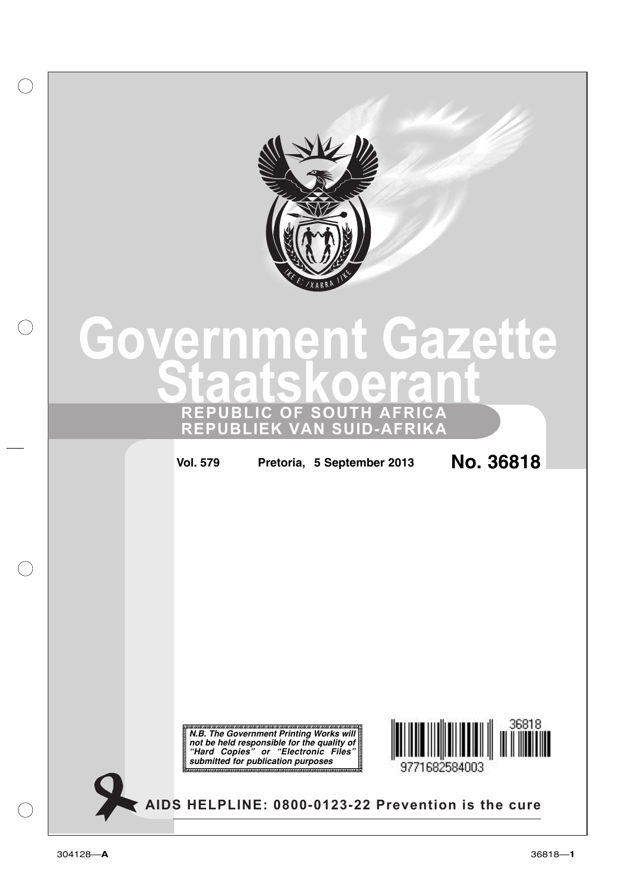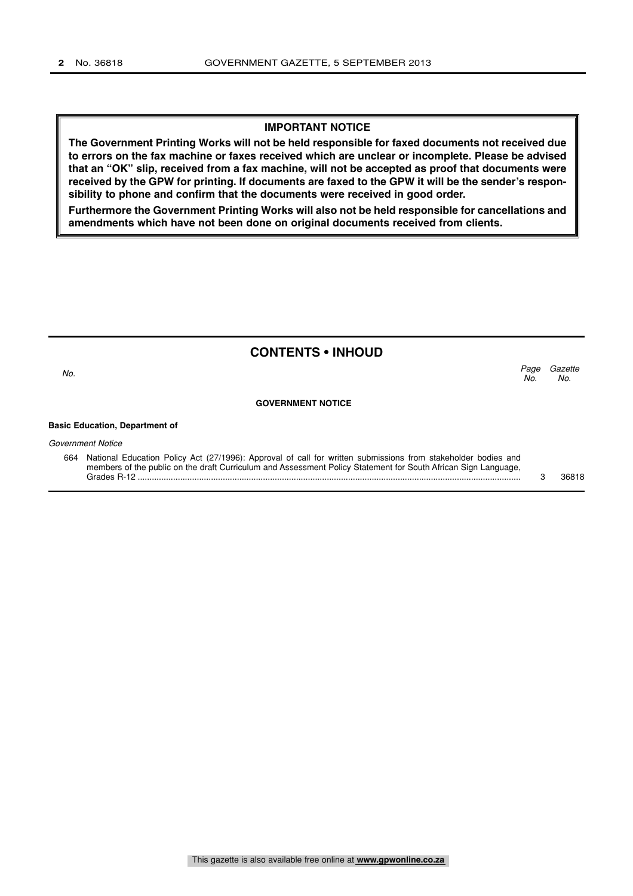#### **IMPORTANT NOTICE**

**The Government Printing Works will not be held responsible for faxed documents not received due to errors on the fax machine or faxes received which are unclear or incomplete. Please be advised that an "OK" slip, received from a fax machine, will not be accepted as proof that documents were received by the GPW for printing. If documents are faxed to the GPW it will be the sender's responsibility to phone and confirm that the documents were received in good order.**

**Furthermore the Government Printing Works will also not be held responsible for cancellations and amendments which have not been done on original documents received from clients.**

#### **CONTENTS • INHOUD**

Page Gazette No. No.  $\sim$  No.

#### **GOVERNMENT NOTICE**

#### **Basic Education, Department of**

Government Notice

664 National Education Policy Act (27/1996): Approval of call for written submissions from stakeholder bodies and members of the public on the draft Curriculum and Assessment Policy Statement for South African Sign Language, Grades R-12 .................................................................................................................................................................. 3 36818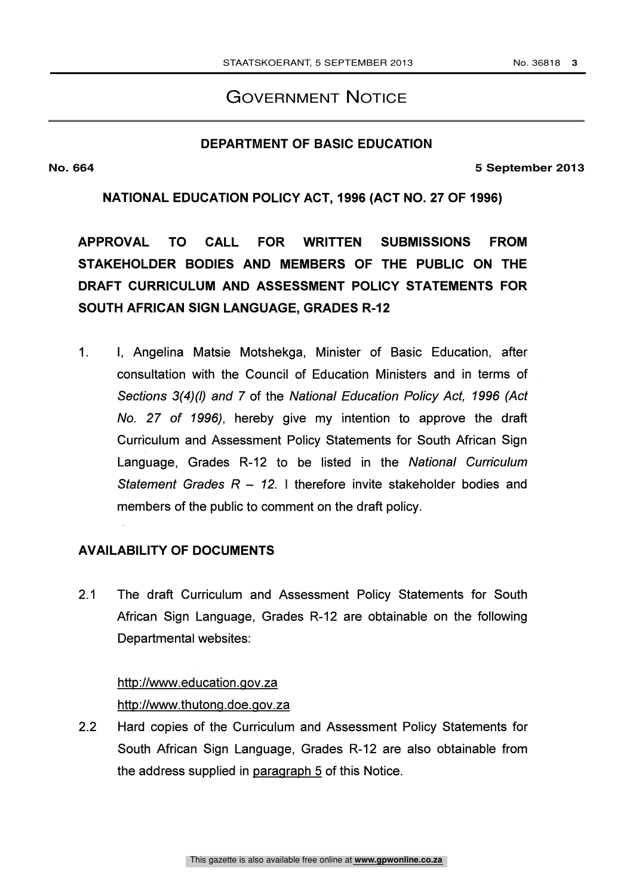# GOVERNMENT NOTICE

## **DEPARTMENT OF BASIC EDUCATION**

**No. 664 5 September 2013**

NATIONAL EDUCATION POLICY ACT, 1996 (ACT NO. 27 OF 1996)

APPROVAL TO CALL FOR WRITTEN SUBMISSIONS FROM STAKEHOLDER BODIES AND MEMBERS OF THE PUBLIC ON THE DRAFT CURRICULUM AND ASSESSMENT POLICY STATEMENTS FOR SOUTH AFRICAN SIGN LANGUAGE, GRADES R-12

1. I, Angelina Matsie Motshekga, Minister of Basic Education, after consultation with the Council of Education Ministers and in terms of Sections 3(4)(1) and 7 of the National Education Policy Act, 1996 (Act No. 27 of 1996), hereby give my intention to approve the draft Curriculum and Assessment Policy Statements for South African Sign Language, Grades R-12 to be listed in the National Curriculum Statement Grades  $R - 12$ . I therefore invite stakeholder bodies and members of the public to comment on the draft policy.

# AVAILABILITY OF DOCUMENTS

2.1 The draft Curriculum and Assessment Policy Statements for South African Sign Language, Grades R-12 are obtainable on the following Departmental websites:

#### http://www.education.gov.za

hftp://www.thutong.doe.qov.za

2.2 Hard copies of the Curriculum and Assessment Policy Statements for South African Sign Language, Grades R-12 are also obtainable from the address supplied in paragraph 5 of this Notice.